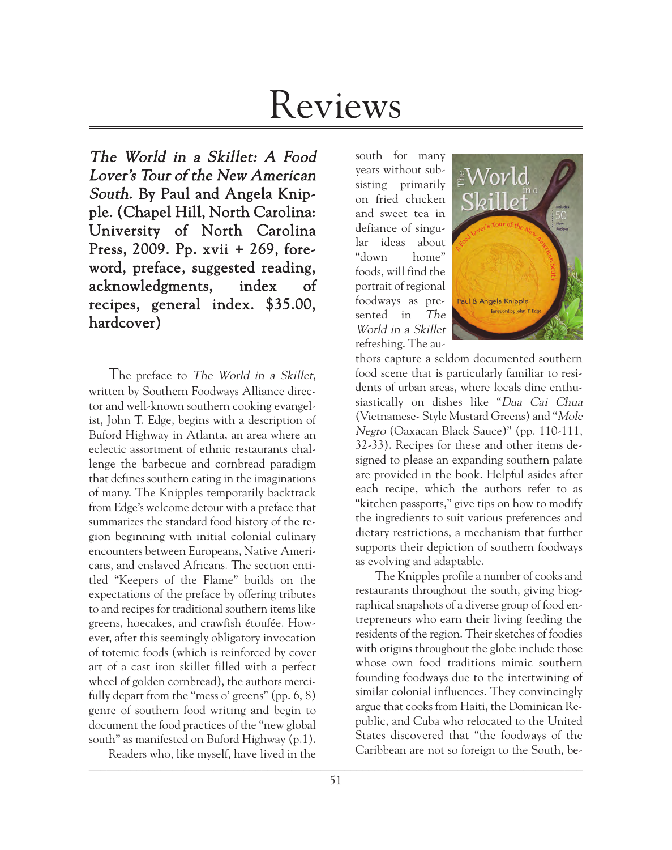# Reviews

The World in a Skillet: A Food Lover's Tour of the New American South. By Paul and Angela Knipple. (Chapel Hill, North Carolina: University of North Carolina Press, 2009. Pp. xvii + 269, foreword, preface, suggested reading, acknowledgments, index of recipes, general index. \$35.00, hardcover)

The preface to The World in a Skillet, written by Southern Foodways Alliance director and well-known southern cooking evangelist, John T. Edge, begins with a description of Buford Highway in Atlanta, an area where an eclectic assortment of ethnic restaurants challenge the barbecue and cornbread paradigm that defines southern eating in the imaginations of many. The Knipples temporarily backtrack from Edge's welcome detour with a preface that summarizes the standard food history of the region beginning with initial colonial culinary encounters between Europeans, Native Americans, and enslaved Africans. The section entitled "Keepers of the Flame" builds on the expectations of the preface by offering tributes to and recipes for traditional southern items like greens, hoecakes, and crawfish étoufée. However, after this seemingly obligatory invocation of totemic foods (which is reinforced by cover art of a cast iron skillet filled with a perfect wheel of golden cornbread), the authors mercifully depart from the "mess o' greens" (pp. 6, 8) genre of southern food writing and begin to document the food practices of the "new global south" as manifested on Buford Highway (p.1).

\_\_\_\_\_\_\_\_\_\_\_\_\_\_\_\_\_\_\_\_\_\_\_\_\_\_\_\_\_\_\_\_\_\_\_\_\_\_\_\_\_\_\_\_\_\_\_\_\_\_\_\_\_\_\_\_\_\_\_\_\_\_\_\_\_\_\_\_\_\_\_\_\_\_\_\_\_\_\_\_\_\_\_ Readers who, like myself, have lived in the

south for many years without subsisting primarily on fried chicken and sweet tea in defiance of singular ideas about "down home" foods, will find the portrait of regional foodways as presented in The World in a Skillet refreshing. The au-



thors capture a seldom documented southern food scene that is particularly familiar to residents of urban areas, where locals dine enthusiastically on dishes like "Dua Cai Chua (Vietnamese- Style Mustard Greens) and "Mole Negro (Oaxacan Black Sauce)" (pp. 110-111, 32-33). Recipes for these and other items designed to please an expanding southern palate are provided in the book. Helpful asides after each recipe, which the authors refer to as "kitchen passports," give tips on how to modify the ingredients to suit various preferences and dietary restrictions, a mechanism that further supports their depiction of southern foodways as evolving and adaptable.

The Knipples profile a number of cooks and restaurants throughout the south, giving biographical snapshots of a diverse group of food entrepreneurs who earn their living feeding the residents of the region. Their sketches of foodies with origins throughout the globe include those whose own food traditions mimic southern founding foodways due to the intertwining of similar colonial influences. They convincingly argue that cooks from Haiti, the Dominican Republic, and Cuba who relocated to the United States discovered that "the foodways of the Caribbean are not so foreign to the South, be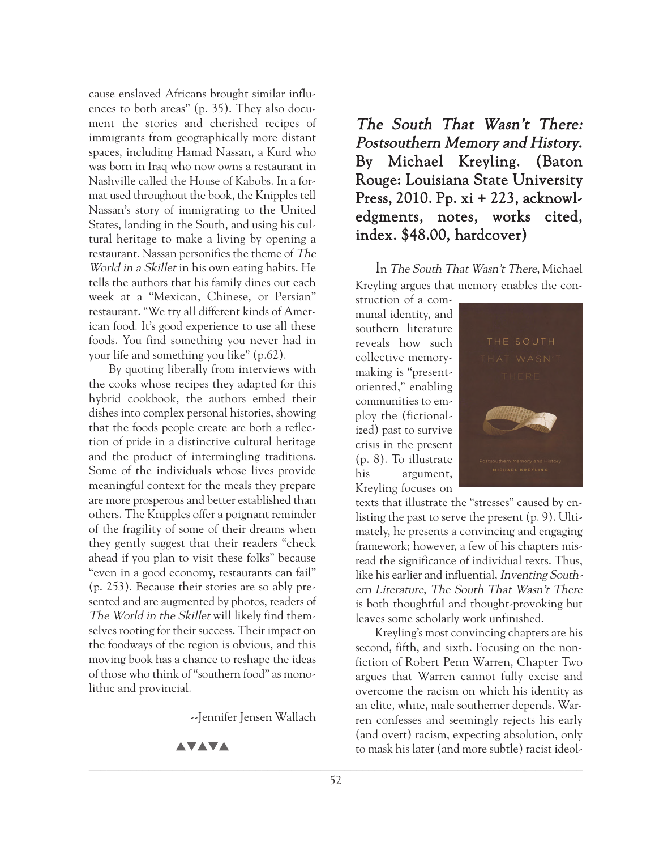cause enslaved Africans brought similar influences to both areas" (p. 35). They also document the stories and cherished recipes of immigrants from geographically more distant spaces, including Hamad Nassan, a Kurd who was born in Iraq who now owns a restaurant in Nashville called the House of Kabobs. In a format used throughout the book, the Knipples tell Nassan's story of immigrating to the United States, landing in the South, and using his cultural heritage to make a living by opening a restaurant. Nassan personifies the theme of The World in a Skillet in his own eating habits. He tells the authors that his family dines out each week at a "Mexican, Chinese, or Persian" restaurant. "We try all different kinds of American food. It's good experience to use all these foods. You find something you never had in your life and something you like" (p.62).

By quoting liberally from interviews with the cooks whose recipes they adapted for this hybrid cookbook, the authors embed their dishes into complex personal histories, showing that the foods people create are both a reflection of pride in a distinctive cultural heritage and the product of intermingling traditions. Some of the individuals whose lives provide meaningful context for the meals they prepare are more prosperous and better established than others. The Knipples offer a poignant reminder of the fragility of some of their dreams when they gently suggest that their readers "check ahead if you plan to visit these folks" because "even in a good economy, restaurants can fail" (p. 253). Because their stories are so ably presented and are augmented by photos, readers of The World in the Skillet will likely find themselves rooting for their success. Their impact on the foodways of the region is obvious, and this moving book has a chance to reshape the ideas of those who think of "southern food" as monolithic and provincial.

--Jennifer Jensen Wallach

**AVAVA** 

The South That Wasn't There: Postsouthern Memory and History. By Michael Kreyling. (Baton Rouge: Louisiana State University Press, 2010. Pp. xi + 223, acknowledgments, notes, works cited, index. \$48.00, hardcover)

In The South That Wasn't There, Michael Kreyling argues that memory enables the con-

struction of a communal identity, and southern literature reveals how such collective memorymaking is "presentoriented," enabling communities to employ the (fictionalized) past to survive crisis in the present (p. 8). To illustrate his argument, Kreyling focuses on



texts that illustrate the "stresses" caused by enlisting the past to serve the present (p. 9). Ultimately, he presents a convincing and engaging framework; however, a few of his chapters misread the significance of individual texts. Thus, like his earlier and influential, *Inventing South*ern Literature, The South That Wasn't There is both thoughtful and thought-provoking but leaves some scholarly work unfinished.

Kreyling's most convincing chapters are his second, fifth, and sixth. Focusing on the nonfiction of Robert Penn Warren, Chapter Two argues that Warren cannot fully excise and overcome the racism on which his identity as an elite, white, male southerner depends. Warren confesses and seemingly rejects his early (and overt) racism, expecting absolution, only to mask his later (and more subtle) racist ideol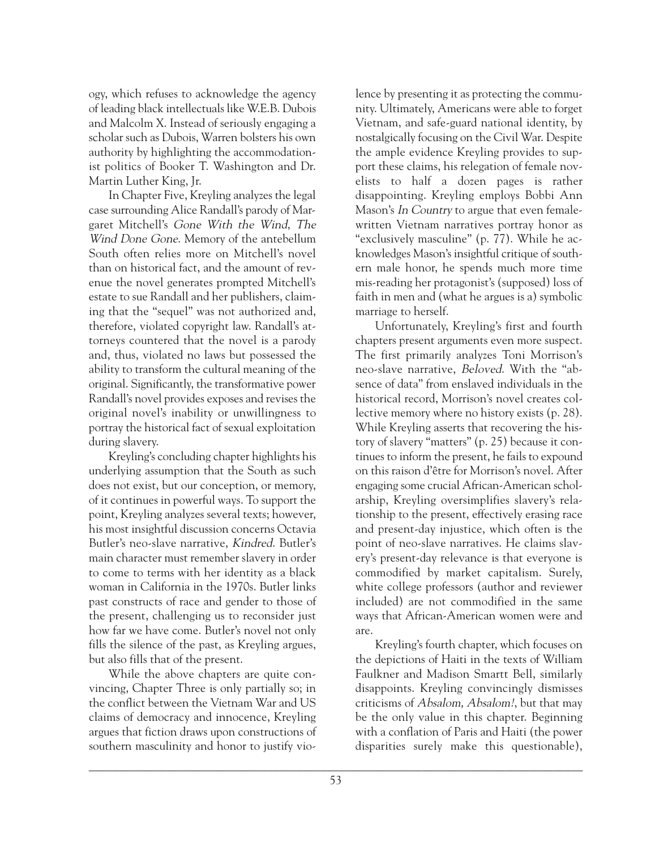ogy, which refuses to acknowledge the agency of leading black intellectuals like W.E.B. Dubois and Malcolm X. Instead of seriously engaging a scholar such as Dubois, Warren bolsters his own authority by highlighting the accommodationist politics of Booker T. Washington and Dr. Martin Luther King, Jr.

In Chapter Five, Kreyling analyzes the legal case surrounding Alice Randall's parody of Margaret Mitchell's Gone With the Wind, The Wind Done Gone. Memory of the antebellum South often relies more on Mitchell's novel than on historical fact, and the amount of revenue the novel generates prompted Mitchell's estate to sue Randall and her publishers, claiming that the "sequel" was not authorized and, therefore, violated copyright law. Randall's attorneys countered that the novel is a parody and, thus, violated no laws but possessed the ability to transform the cultural meaning of the original. Significantly, the transformative power Randall's novel provides exposes and revises the original novel's inability or unwillingness to portray the historical fact of sexual exploitation during slavery.

Kreyling's concluding chapter highlights his underlying assumption that the South as such does not exist, but our conception, or memory, of it continues in powerful ways. To support the point, Kreyling analyzes several texts; however, his most insightful discussion concerns Octavia Butler's neo-slave narrative, Kindred. Butler's main character must remember slavery in order to come to terms with her identity as a black woman in California in the 1970s. Butler links past constructs of race and gender to those of the present, challenging us to reconsider just how far we have come. Butler's novel not only fills the silence of the past, as Kreyling argues, but also fills that of the present.

While the above chapters are quite convincing, Chapter Three is only partially so; in the conflict between the Vietnam War and US claims of democracy and innocence, Kreyling argues that fiction draws upon constructions of southern masculinity and honor to justify vio-

lence by presenting it as protecting the community. Ultimately, Americans were able to forget Vietnam, and safe-guard national identity, by nostalgically focusing on the Civil War. Despite the ample evidence Kreyling provides to support these claims, his relegation of female novelists to half a dozen pages is rather disappointing. Kreyling employs Bobbi Ann Mason's *In Country* to argue that even femalewritten Vietnam narratives portray honor as "exclusively masculine" (p. 77). While he acknowledges Mason's insightful critique of southern male honor, he spends much more time mis-reading her protagonist's (supposed) loss of faith in men and (what he argues is a) symbolic marriage to herself.

Unfortunately, Kreyling's first and fourth chapters present arguments even more suspect. The first primarily analyzes Toni Morrison's neo-slave narrative, Beloved. With the "absence of data" from enslaved individuals in the historical record, Morrison's novel creates collective memory where no history exists (p. 28). While Kreyling asserts that recovering the history of slavery "matters" (p. 25) because it continues to inform the present, he fails to expound on this raison d'être for Morrison's novel. After engaging some crucial African-American scholarship, Kreyling oversimplifies slavery's relationship to the present, effectively erasing race and present-day injustice, which often is the point of neo-slave narratives. He claims slavery's present-day relevance is that everyone is commodified by market capitalism. Surely, white college professors (author and reviewer included) are not commodified in the same ways that African-American women were and are.

Kreyling's fourth chapter, which focuses on the depictions of Haiti in the texts of William Faulkner and Madison Smartt Bell, similarly disappoints. Kreyling convincingly dismisses criticisms of Absalom, Absalom!, but that may be the only value in this chapter. Beginning with a conflation of Paris and Haiti (the power disparities surely make this questionable),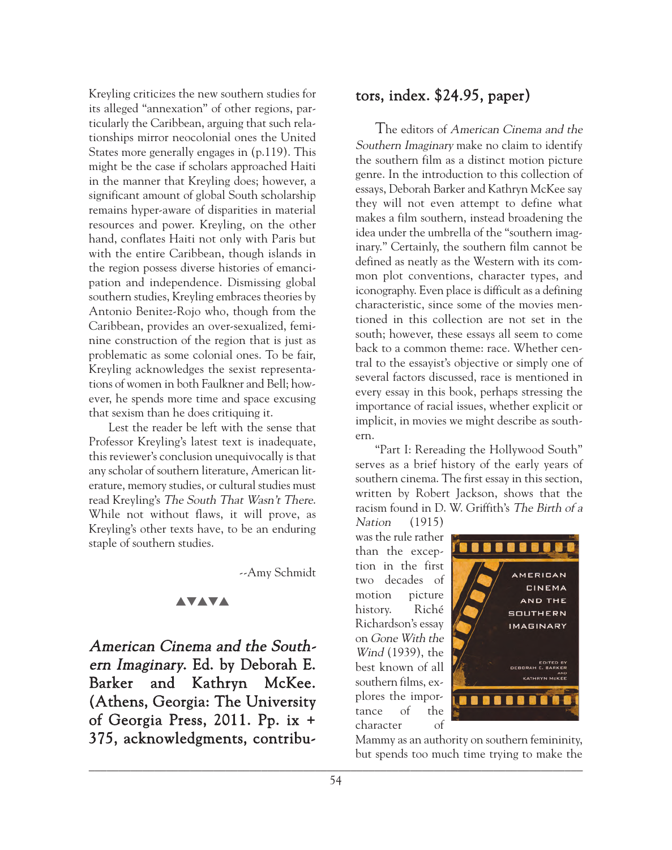Kreyling criticizes the new southern studies for its alleged "annexation" of other regions, particularly the Caribbean, arguing that such relationships mirror neocolonial ones the United States more generally engages in (p.119). This might be the case if scholars approached Haiti in the manner that Kreyling does; however, a significant amount of global South scholarship remains hyper-aware of disparities in material resources and power. Kreyling, on the other hand, conflates Haiti not only with Paris but with the entire Caribbean, though islands in the region possess diverse histories of emancipation and independence. Dismissing global southern studies, Kreyling embraces theories by Antonio Benitez-Rojo who, though from the Caribbean, provides an over-sexualized, feminine construction of the region that is just as problematic as some colonial ones. To be fair, Kreyling acknowledges the sexist representations of women in both Faulkner and Bell; however, he spends more time and space excusing that sexism than he does critiquing it.

Lest the reader be left with the sense that Professor Kreyling's latest text is inadequate, this reviewer's conclusion unequivocally is that any scholar of southern literature, American literature, memory studies, or cultural studies must read Kreyling's The South That Wasn't There. While not without flaws, it will prove, as Kreyling's other texts have, to be an enduring staple of southern studies.

--Amy Schmidt

## **AVAVA**

American Cinema and the Southern Imaginary. Ed. by Deborah E. Barker and Kathryn McKee. (Athens, Georgia: The University of Georgia Press, 2011. Pp. ix + 375, acknowledgments, contribu-

# tors, index. \$24.95, paper)

The editors of American Cinema and the Southern Imaginary make no claim to identify the southern film as a distinct motion picture genre. In the introduction to this collection of essays, Deborah Barker and Kathryn McKee say they will not even attempt to define what makes a film southern, instead broadening the idea under the umbrella of the "southern imaginary." Certainly, the southern film cannot be defined as neatly as the Western with its common plot conventions, character types, and iconography. Even place is difficult as a defining characteristic, since some of the movies mentioned in this collection are not set in the south; however, these essays all seem to come back to a common theme: race. Whether central to the essayist's objective or simply one of several factors discussed, race is mentioned in every essay in this book, perhaps stressing the importance of racial issues, whether explicit or implicit, in movies we might describe as southern.

"Part I: Rereading the Hollywood South" serves as a brief history of the early years of southern cinema. The first essay in this section, written by Robert Jackson, shows that the racism found in D. W. Griffith's The Birth of a Nation (1915)

was the rule rather than the exception in the first two decades of motion picture history. Riché Richardson's essay on Gone With the Wind (1939), the best known of all southern films, explores the importance of the character of



Mammy as an authority on southern femininity, but spends too much time trying to make the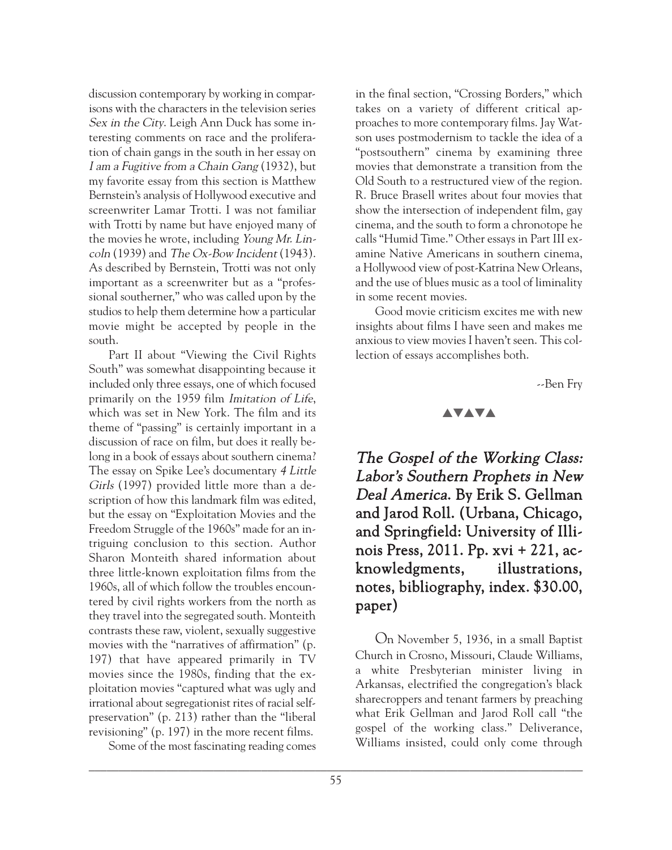discussion contemporary by working in comparisons with the characters in the television series Sex in the City. Leigh Ann Duck has some interesting comments on race and the proliferation of chain gangs in the south in her essay on I am a Fugitive from a Chain Gang (1932), but my favorite essay from this section is Matthew Bernstein's analysis of Hollywood executive and screenwriter Lamar Trotti. I was not familiar with Trotti by name but have enjoyed many of the movies he wrote, including Young Mr. Lincoln (1939) and The Ox-Bow Incident (1943). As described by Bernstein, Trotti was not only important as a screenwriter but as a "professional southerner," who was called upon by the studios to help them determine how a particular movie might be accepted by people in the south.

Part II about "Viewing the Civil Rights South" was somewhat disappointing because it included only three essays, one of which focused primarily on the 1959 film Imitation of Life, which was set in New York. The film and its theme of "passing" is certainly important in a discussion of race on film, but does it really belong in a book of essays about southern cinema? The essay on Spike Lee's documentary 4 Little Girls (1997) provided little more than a description of how this landmark film was edited, but the essay on "Exploitation Movies and the Freedom Struggle of the 1960s" made for an intriguing conclusion to this section. Author Sharon Monteith shared information about three little-known exploitation films from the 1960s, all of which follow the troubles encountered by civil rights workers from the north as they travel into the segregated south. Monteith contrasts these raw, violent, sexually suggestive movies with the "narratives of affirmation" (p. 197) that have appeared primarily in TV movies since the 1980s, finding that the exploitation movies "captured what was ugly and irrational about segregationist rites of racial selfpreservation" (p. 213) rather than the "liberal revisioning" (p. 197) in the more recent films.

Some of the most fascinating reading comes

in the final section, "Crossing Borders," which takes on a variety of different critical approaches to more contemporary films. Jay Watson uses postmodernism to tackle the idea of a "postsouthern" cinema by examining three movies that demonstrate a transition from the Old South to a restructured view of the region. R. Bruce Brasell writes about four movies that show the intersection of independent film, gay cinema, and the south to form a chronotope he calls "Humid Time." Other essays in Part III examine Native Americans in southern cinema, a Hollywood view of post-Katrina New Orleans, and the use of blues music as a tool of liminality in some recent movies.

Good movie criticism excites me with new insights about films I have seen and makes me anxious to view movies I haven't seen. This collection of essays accomplishes both.

--Ben Fry

## **AVAVA**

The Gospel of the Working Class: Labor's Southern Prophets in New Deal America. By Erik S. Gellman and Jarod Roll. (Urbana, Chicago, and Springfield: University of Illinois Press, 2011. Pp. xvi + 221, acknowledgments, illustrations, notes, bibliography, index. \$30.00, paper)

On November 5, 1936, in a small Baptist Church in Crosno, Missouri, Claude Williams, a white Presbyterian minister living in Arkansas, electrified the congregation's black sharecroppers and tenant farmers by preaching what Erik Gellman and Jarod Roll call "the gospel of the working class." Deliverance, Williams insisted, could only come through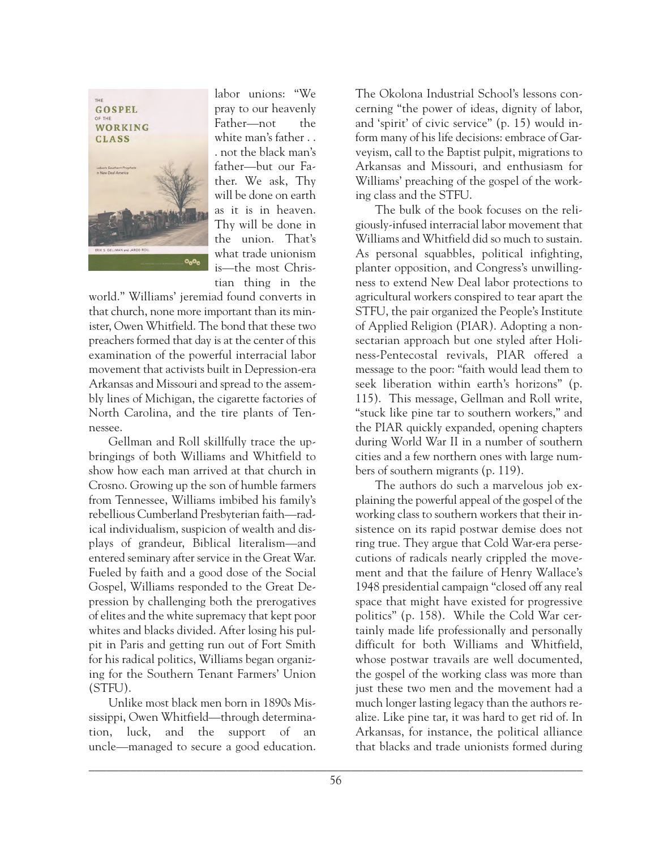

labor unions: "We pray to our heavenly Father—not the white man's father . . . not the black man's father—but our Father. We ask, Thy will be done on earth as it is in heaven. Thy will be done in the union. That's what trade unionism is—the most Christian thing in the

world." Williams' jeremiad found converts in that church, none more important than its minister, Owen Whitfield. The bond that these two preachers formed that day is at the center of this examination of the powerful interracial labor movement that activists built in Depression-era Arkansas and Missouri and spread to the assembly lines of Michigan, the cigarette factories of North Carolina, and the tire plants of Tennessee.

Gellman and Roll skillfully trace the upbringings of both Williams and Whitfield to show how each man arrived at that church in Crosno. Growing up the son of humble farmers from Tennessee, Williams imbibed his family's rebellious Cumberland Presbyterian faith—radical individualism, suspicion of wealth and displays of grandeur, Biblical literalism—and entered seminary after service in the Great War. Fueled by faith and a good dose of the Social Gospel, Williams responded to the Great Depression by challenging both the prerogatives of elites and the white supremacy that kept poor whites and blacks divided. After losing his pulpit in Paris and getting run out of Fort Smith for his radical politics, Williams began organizing for the Southern Tenant Farmers' Union (STFU).

Unlike most black men born in 1890s Mississippi, Owen Whitfield—through determination, luck, and the support of an uncle—managed to secure a good education. The Okolona Industrial School's lessons concerning "the power of ideas, dignity of labor, and 'spirit' of civic service" (p. 15) would inform many of his life decisions: embrace of Garveyism, call to the Baptist pulpit, migrations to Arkansas and Missouri, and enthusiasm for Williams' preaching of the gospel of the working class and the STFU.

The bulk of the book focuses on the religiously-infused interracial labor movement that Williams and Whitfield did so much to sustain. As personal squabbles, political infighting, planter opposition, and Congress's unwillingness to extend New Deal labor protections to agricultural workers conspired to tear apart the STFU, the pair organized the People's Institute of Applied Religion (PIAR). Adopting a nonsectarian approach but one styled after Holiness-Pentecostal revivals, PIAR offered a message to the poor: "faith would lead them to seek liberation within earth's horizons" (p. 115). This message, Gellman and Roll write, "stuck like pine tar to southern workers," and the PIAR quickly expanded, opening chapters during World War II in a number of southern cities and a few northern ones with large numbers of southern migrants (p. 119).

The authors do such a marvelous job explaining the powerful appeal of the gospel of the working class to southern workers that their insistence on its rapid postwar demise does not ring true. They argue that Cold War-era persecutions of radicals nearly crippled the movement and that the failure of Henry Wallace's 1948 presidential campaign "closed off any real space that might have existed for progressive politics" (p. 158). While the Cold War certainly made life professionally and personally difficult for both Williams and Whitfield, whose postwar travails are well documented, the gospel of the working class was more than just these two men and the movement had a much longer lasting legacy than the authors realize. Like pine tar, it was hard to get rid of. In Arkansas, for instance, the political alliance that blacks and trade unionists formed during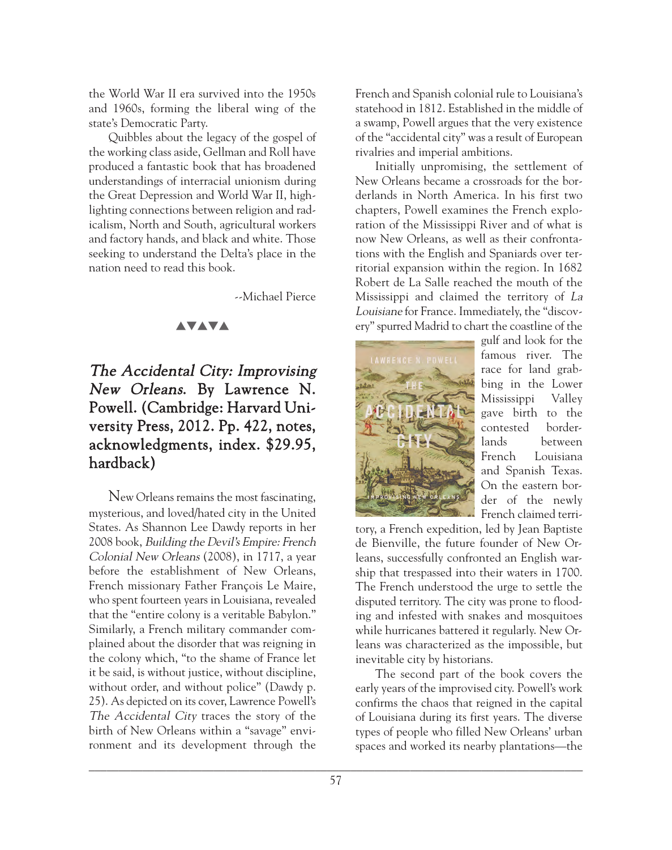the World War II era survived into the 1950s and 1960s, forming the liberal wing of the state's Democratic Party.

Quibbles about the legacy of the gospel of the working class aside, Gellman and Roll have produced a fantastic book that has broadened understandings of interracial unionism during the Great Depression and World War II, highlighting connections between religion and radicalism, North and South, agricultural workers and factory hands, and black and white. Those seeking to understand the Delta's place in the nation need to read this book.

--Michael Pierce

#### **AVAVA**

# The Accidental City: Improvising New Orleans. By Lawrence N. Powell. (Cambridge: Harvard University Press, 2012. Pp. 422, notes, acknowledgments, index. \$29.95, hardback)

New Orleans remains the most fascinating, mysterious, and loved/hated city in the United States. As Shannon Lee Dawdy reports in her 2008 book, Building the Devil's Empire: French Colonial New Orleans (2008), in 1717, a year before the establishment of New Orleans, French missionary Father François Le Maire, who spent fourteen years in Louisiana, revealed that the "entire colony is a veritable Babylon." Similarly, a French military commander complained about the disorder that was reigning in the colony which, "to the shame of France let it be said, is without justice, without discipline, without order, and without police" (Dawdy p. 25). As depicted on its cover, Lawrence Powell's The Accidental City traces the story of the birth of New Orleans within a "savage" environment and its development through the

French and Spanish colonial rule to Louisiana's statehood in 1812. Established in the middle of a swamp, Powell argues that the very existence of the "accidental city" was a result of European rivalries and imperial ambitions.

Initially unpromising, the settlement of New Orleans became a crossroads for the borderlands in North America. In his first two chapters, Powell examines the French exploration of the Mississippi River and of what is now New Orleans, as well as their confrontations with the English and Spaniards over territorial expansion within the region. In 1682 Robert de La Salle reached the mouth of the Mississippi and claimed the territory of La Louisiane for France. Immediately, the "discovery" spurred Madrid to chart the coastline of the



gulf and look for the famous river. The race for land grabbing in the Lower Mississippi Valley gave birth to the contested borderlands between French Louisiana and Spanish Texas. On the eastern border of the newly French claimed terri-

tory, a French expedition, led by Jean Baptiste de Bienville, the future founder of New Orleans, successfully confronted an English warship that trespassed into their waters in 1700. The French understood the urge to settle the disputed territory. The city was prone to flooding and infested with snakes and mosquitoes while hurricanes battered it regularly. New Orleans was characterized as the impossible, but inevitable city by historians.

The second part of the book covers the early years of the improvised city. Powell's work confirms the chaos that reigned in the capital of Louisiana during its first years. The diverse types of people who filled New Orleans' urban spaces and worked its nearby plantations—the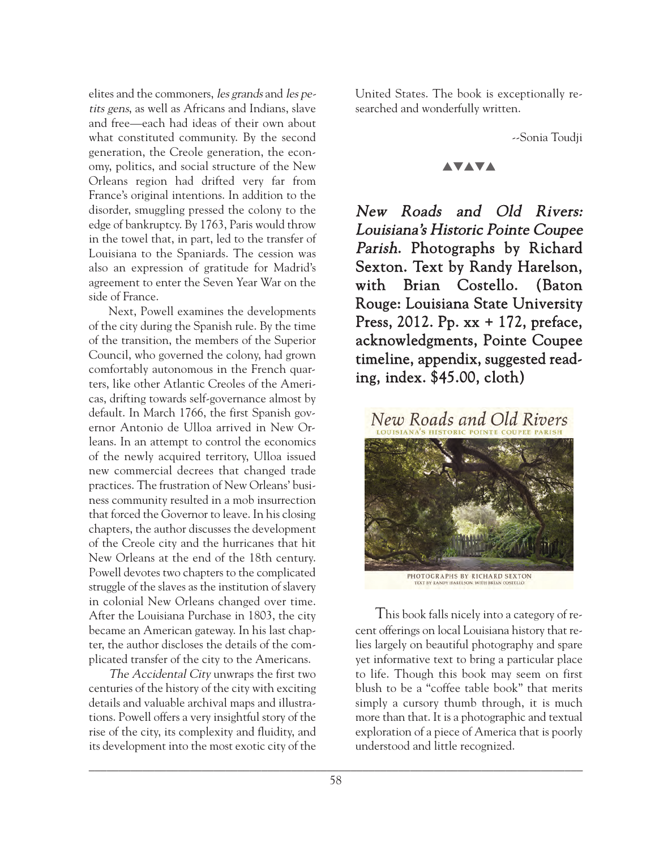elites and the commoners, les grands and les petits gens, as well as Africans and Indians, slave and free—each had ideas of their own about what constituted community. By the second generation, the Creole generation, the economy, politics, and social structure of the New Orleans region had drifted very far from France's original intentions. In addition to the disorder, smuggling pressed the colony to the edge of bankruptcy. By 1763, Paris would throw in the towel that, in part, led to the transfer of Louisiana to the Spaniards. The cession was also an expression of gratitude for Madrid's agreement to enter the Seven Year War on the side of France.

Next, Powell examines the developments of the city during the Spanish rule. By the time of the transition, the members of the Superior Council, who governed the colony, had grown comfortably autonomous in the French quarters, like other Atlantic Creoles of the Americas, drifting towards self-governance almost by default. In March 1766, the first Spanish governor Antonio de Ulloa arrived in New Orleans. In an attempt to control the economics of the newly acquired territory, Ulloa issued new commercial decrees that changed trade practices. The frustration of New Orleans' business community resulted in a mob insurrection that forced the Governor to leave. In his closing chapters, the author discusses the development of the Creole city and the hurricanes that hit New Orleans at the end of the 18th century. Powell devotes two chapters to the complicated struggle of the slaves as the institution of slavery in colonial New Orleans changed over time. After the Louisiana Purchase in 1803, the city became an American gateway. In his last chapter, the author discloses the details of the complicated transfer of the city to the Americans.

The Accidental City unwraps the first two centuries of the history of the city with exciting details and valuable archival maps and illustrations. Powell offers a very insightful story of the rise of the city, its complexity and fluidity, and its development into the most exotic city of the United States. The book is exceptionally researched and wonderfully written.

--Sonia Toudji

## **AVAVA**

New Roads and Old Rivers: Louisiana's Historic Pointe Coupee Parish. Photographs by Richard Sexton. Text by Randy Harelson, with Brian Costello. (Baton Rouge: Louisiana State University Press, 2012. Pp. xx + 172, preface, acknowledgments, Pointe Coupee timeline, appendix, suggested reading, index. \$45.00, cloth)



This book falls nicely into a category of recent offerings on local Louisiana history that relies largely on beautiful photography and spare yet informative text to bring a particular place to life. Though this book may seem on first blush to be a "coffee table book" that merits simply a cursory thumb through, it is much more than that. It is a photographic and textual exploration of a piece of America that is poorly understood and little recognized.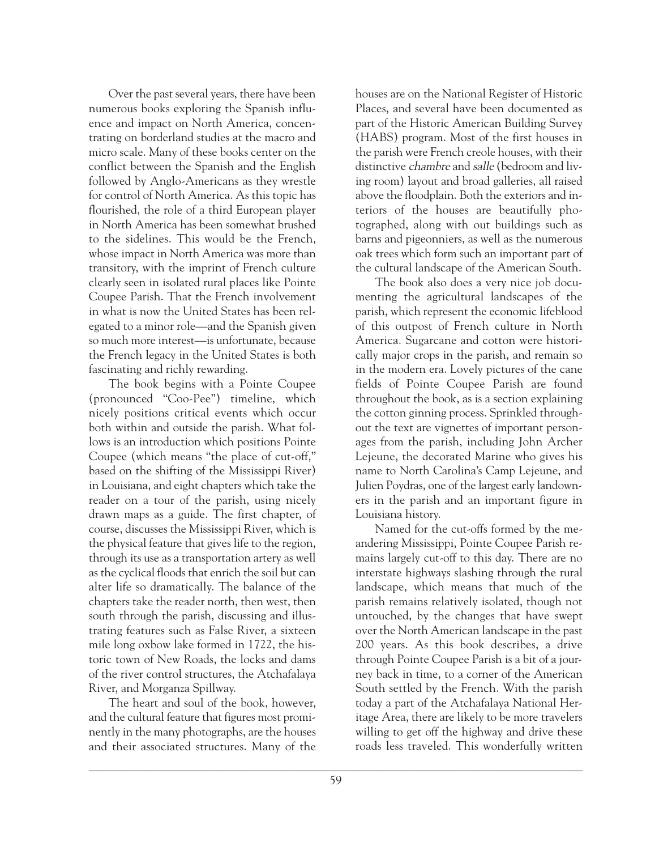Over the past several years, there have been numerous books exploring the Spanish influence and impact on North America, concentrating on borderland studies at the macro and micro scale. Many of these books center on the conflict between the Spanish and the English followed by Anglo-Americans as they wrestle for control of North America. As this topic has flourished, the role of a third European player in North America has been somewhat brushed to the sidelines. This would be the French, whose impact in North America was more than transitory, with the imprint of French culture clearly seen in isolated rural places like Pointe Coupee Parish. That the French involvement in what is now the United States has been relegated to a minor role—and the Spanish given so much more interest—is unfortunate, because the French legacy in the United States is both fascinating and richly rewarding.

The book begins with a Pointe Coupee (pronounced "Coo-Pee") timeline, which nicely positions critical events which occur both within and outside the parish. What follows is an introduction which positions Pointe Coupee (which means "the place of cut-off," based on the shifting of the Mississippi River) in Louisiana, and eight chapters which take the reader on a tour of the parish, using nicely drawn maps as a guide. The first chapter, of course, discusses the Mississippi River, which is the physical feature that gives life to the region, through its use as a transportation artery as well as the cyclical floods that enrich the soil but can alter life so dramatically. The balance of the chapters take the reader north, then west, then south through the parish, discussing and illustrating features such as False River, a sixteen mile long oxbow lake formed in 1722, the historic town of New Roads, the locks and dams of the river control structures, the Atchafalaya River, and Morganza Spillway.

The heart and soul of the book, however, and the cultural feature that figures most prominently in the many photographs, are the houses and their associated structures. Many of the

houses are on the National Register of Historic Places, and several have been documented as part of the Historic American Building Survey (HABS) program. Most of the first houses in the parish were French creole houses, with their distinctive chambre and salle (bedroom and living room) layout and broad galleries, all raised above the floodplain. Both the exteriors and interiors of the houses are beautifully photographed, along with out buildings such as barns and pigeonniers, as well as the numerous oak trees which form such an important part of the cultural landscape of the American South.

The book also does a very nice job documenting the agricultural landscapes of the parish, which represent the economic lifeblood of this outpost of French culture in North America. Sugarcane and cotton were historically major crops in the parish, and remain so in the modern era. Lovely pictures of the cane fields of Pointe Coupee Parish are found throughout the book, as is a section explaining the cotton ginning process. Sprinkled throughout the text are vignettes of important personages from the parish, including John Archer Lejeune, the decorated Marine who gives his name to North Carolina's Camp Lejeune, and Julien Poydras, one of the largest early landowners in the parish and an important figure in Louisiana history.

Named for the cut-offs formed by the meandering Mississippi, Pointe Coupee Parish remains largely cut-off to this day. There are no interstate highways slashing through the rural landscape, which means that much of the parish remains relatively isolated, though not untouched, by the changes that have swept over the North American landscape in the past 200 years. As this book describes, a drive through Pointe Coupee Parish is a bit of a journey back in time, to a corner of the American South settled by the French. With the parish today a part of the Atchafalaya National Heritage Area, there are likely to be more travelers willing to get off the highway and drive these roads less traveled. This wonderfully written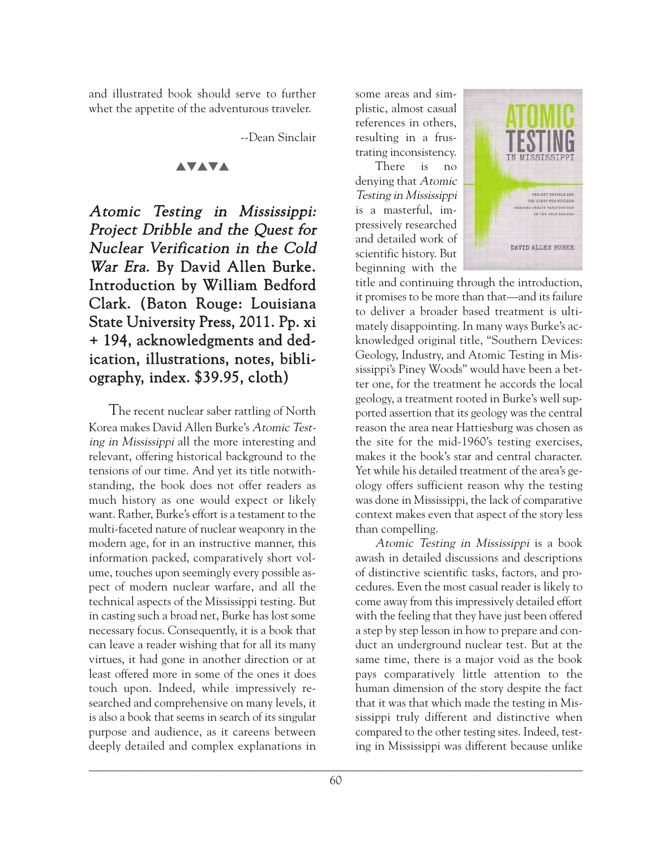and illustrated book should serve to further whet the appetite of the adventurous traveler.

--Dean Sinclair

#### **AVAVA**

Atomic Testing in Mississippi: Project Dribble and the Quest for Nuclear Verification in the Cold War Era. By David Allen Burke. Introduction by William Bedford Clark. (Baton Rouge: Louisiana State University Press, 2011. Pp. xi + 194, acknowledgments and dedication, illustrations, notes, bibliography, index. \$39.95, cloth)

The recent nuclear saber rattling of North Korea makes David Allen Burke's Atomic Testing in Mississippi all the more interesting and relevant, offering historical background to the tensions of our time. And yet its title notwithstanding, the book does not offer readers as much history as one would expect or likely want. Rather, Burke's effort is a testament to the multi-faceted nature of nuclear weaponry in the modern age, for in an instructive manner, this information packed, comparatively short volume, touches upon seemingly every possible aspect of modern nuclear warfare, and all the technical aspects of the Mississippi testing. But in casting such a broad net, Burke has lost some necessary focus. Consequently, it is a book that can leave a reader wishing that for all its many virtues, it had gone in another direction or at least offered more in some of the ones it does touch upon. Indeed, while impressively researched and comprehensive on many levels, it is also a book that seems in search of its singular purpose and audience, as it careens between deeply detailed and complex explanations in

some areas and simplistic, almost casual references in others, resulting in a frustrating inconsistency.

There is no denying that Atomic Testing in Mississippi is a masterful, impressively researched and detailed work of scientific history. But beginning with the



title and continuing through the introduction, it promises to be more than that—and its failure to deliver a broader based treatment is ultimately disappointing. In many ways Burke's acknowledged original title, "Southern Devices: Geology, Industry, and Atomic Testing in Mississippi's Piney Woods" would have been a better one, for the treatment he accords the local geology, a treatment rooted in Burke's well supported assertion that its geology was the central reason the area near Hattiesburg was chosen as the site for the mid-1960's testing exercises, makes it the book's star and central character. Yet while his detailed treatment of the area's geology offers sufficient reason why the testing was done in Mississippi, the lack of comparative context makes even that aspect of the story less than compelling.

Atomic Testing in Mississippi is a book awash in detailed discussions and descriptions of distinctive scientific tasks, factors, and procedures. Even the most casual reader is likely to come away from this impressively detailed effort with the feeling that they have just been offered a step by step lesson in how to prepare and conduct an underground nuclear test. But at the same time, there is a major void as the book pays comparatively little attention to the human dimension of the story despite the fact that it was that which made the testing in Mississippi truly different and distinctive when compared to the other testing sites. Indeed, testing in Mississippi was different because unlike